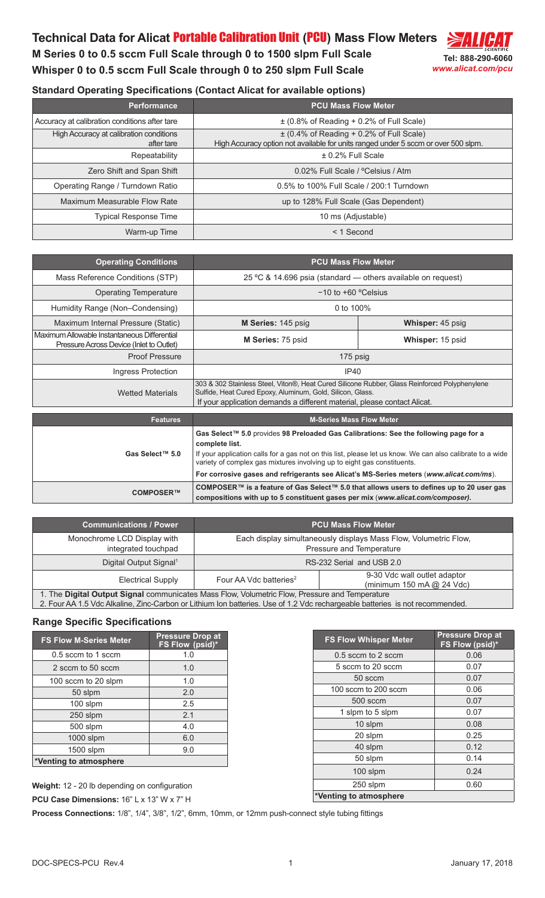## **Technical Data for Alicat** Portable Calibration Unit **(**PCU**) Mass Flow Meters**

**M Series 0 to 0.5 sccm Full Scale through 0 to 1500 slpm Full Scale Whisper 0 to 0.5 sccm Full Scale through 0 to 250 slpm Full Scale**



| <b>Performance</b>                                    | <b>PCU Mass Flow Meter</b>                                                                                                         |
|-------------------------------------------------------|------------------------------------------------------------------------------------------------------------------------------------|
| Accuracy at calibration conditions after tare         | $\pm$ (0.8% of Reading + 0.2% of Full Scale)                                                                                       |
| High Accuracy at calibration conditions<br>after tare | $\pm$ (0.4% of Reading + 0.2% of Full Scale)<br>High Accuracy option not available for units ranged under 5 sccm or over 500 slpm. |
| Repeatability                                         | $\pm$ 0.2% Full Scale                                                                                                              |
| Zero Shift and Span Shift                             | 0.02% Full Scale / °Celsius / Atm                                                                                                  |
| Operating Range / Turndown Ratio                      | 0.5% to 100% Full Scale / 200:1 Turndown                                                                                           |
| Maximum Measurable Flow Rate                          | up to 128% Full Scale (Gas Dependent)                                                                                              |
| <b>Typical Response Time</b>                          | 10 ms (Adjustable)                                                                                                                 |
| Warm-up Time                                          | $<$ 1 Second                                                                                                                       |

| <b>Operating Conditions</b>                                                              | <b>PCU Mass Flow Meter</b>                                                                                                                                                                                                                                                                                                                                                                |                         |
|------------------------------------------------------------------------------------------|-------------------------------------------------------------------------------------------------------------------------------------------------------------------------------------------------------------------------------------------------------------------------------------------------------------------------------------------------------------------------------------------|-------------------------|
| Mass Reference Conditions (STP)                                                          | 25 °C & 14.696 psia (standard - others available on request)                                                                                                                                                                                                                                                                                                                              |                         |
| <b>Operating Temperature</b>                                                             | $-10$ to $+60$ °Celsius                                                                                                                                                                                                                                                                                                                                                                   |                         |
| Humidity Range (Non-Condensing)                                                          | 0 to 100%                                                                                                                                                                                                                                                                                                                                                                                 |                         |
| Maximum Internal Pressure (Static)                                                       | M Series: 145 psig                                                                                                                                                                                                                                                                                                                                                                        | <b>Whisper: 45 psig</b> |
| Maximum Allowable Instantaneous Differential<br>Pressure Across Device (Inlet to Outlet) | M Series: 75 psid                                                                                                                                                                                                                                                                                                                                                                         | Whisper: 15 psid        |
| <b>Proof Pressure</b>                                                                    | 175 psig                                                                                                                                                                                                                                                                                                                                                                                  |                         |
| Ingress Protection                                                                       | IP40                                                                                                                                                                                                                                                                                                                                                                                      |                         |
| <b>Wetted Materials</b>                                                                  | 303 & 302 Stainless Steel, Viton®, Heat Cured Silicone Rubber, Glass Reinforced Polyphenylene<br>Sulfide, Heat Cured Epoxy, Aluminum, Gold, Silicon, Glass.<br>If your application demands a different material, please contact Alicat.                                                                                                                                                   |                         |
|                                                                                          |                                                                                                                                                                                                                                                                                                                                                                                           |                         |
| <b>Features</b>                                                                          | <b>M-Series Mass Flow Meter</b>                                                                                                                                                                                                                                                                                                                                                           |                         |
| Gas Select™ 5.0                                                                          | Gas Select™ 5.0 provides 98 Preloaded Gas Calibrations: See the following page for a<br>complete list.<br>If your application calls for a gas not on this list, please let us know. We can also calibrate to a wide<br>variety of complex gas mixtures involving up to eight gas constituents.<br>For corrosive gases and refrigerants see Alicat's MS-Series meters (www.alicat.com/ms). |                         |
| COMPOSER™                                                                                | COMPOSER™ is a feature of Gas Select™ 5.0 that allows users to defines up to 20 user gas<br>compositions with up to 5 constituent gases per mix (www.alicat.com/composer).                                                                                                                                                                                                                |                         |

| <b>Communications / Power</b>                                                                  |                                                                                                 | <b>PCU Mass Flow Meter</b> |  |
|------------------------------------------------------------------------------------------------|-------------------------------------------------------------------------------------------------|----------------------------|--|
| Monochrome LCD Display with<br>integrated touchpad                                             | Each display simultaneously displays Mass Flow, Volumetric Flow,<br>Pressure and Temperature    |                            |  |
| Digital Output Signal <sup>1</sup>                                                             | RS-232 Serial and USB 2.0                                                                       |                            |  |
| <b>Electrical Supply</b>                                                                       | 9-30 Vdc wall outlet adaptor<br>Four AA Vdc batteries <sup>2</sup><br>(minimum 150 mA @ 24 Vdc) |                            |  |
| 1. The Digital Output Signal communicates Mass Flow, Volumetric Flow, Pressure and Temperature |                                                                                                 |                            |  |

2. Four AA 1.5 Vdc Alkaline, Zinc-Carbon or Lithium Ion batteries. Use of 1.2 Vdc rechargeable batteries is not recommended.

## **Range Specific Specifications**

| <b>FS Flow M-Series Meter</b> | <b>Pressure Drop at</b><br>FS Flow (psid)* |
|-------------------------------|--------------------------------------------|
| 0.5 sccm to 1 sccm            | 1.0                                        |
| 2 sccm to 50 sccm             | 1.0                                        |
| 100 sccm to 20 slpm           | 1.0                                        |
| 50 slpm                       | 2.0                                        |
| 100 slpm                      | 2.5                                        |
| 250 slpm                      | 2.1                                        |
| 500 slpm                      | 4.0                                        |
| 1000 slpm                     | 6.0                                        |
| 1500 slpm                     | 9.0                                        |
| *Venting to atmosphere        |                                            |

| <b>FS Flow Whisper Meter</b> | <b>Pressure Drop at</b><br><b>FS Flow (psid)*</b> |
|------------------------------|---------------------------------------------------|
| $0.5$ sccm to 2 sccm         | 0.06                                              |
| 5 sccm to 20 sccm            | 0.07                                              |
| 50 sccm                      | 0.07                                              |
| 100 sccm to 200 sccm         | 0.06                                              |
| 500 sccm                     | 0.07                                              |
| 1 slpm to 5 slpm             | 0.07                                              |
| 10 slpm                      | 0.08                                              |
| 20 slpm                      | 0.25                                              |
| 40 slpm                      | 0.12                                              |
| 50 slpm                      | 0.14                                              |
| 100 slpm                     | 0.24                                              |
| 250 slpm                     | 0.60                                              |
| *Venting to atmosphere       |                                                   |

**Weight:** 12 - 20 lb depending on configuration

**PCU Case Dimensions:** 16" L x 13" W x 7" H

**Process Connections:** 1/8", 1/4", 3/8", 1/2", 6mm, 10mm, or 12mm push-connect style tubing fittings